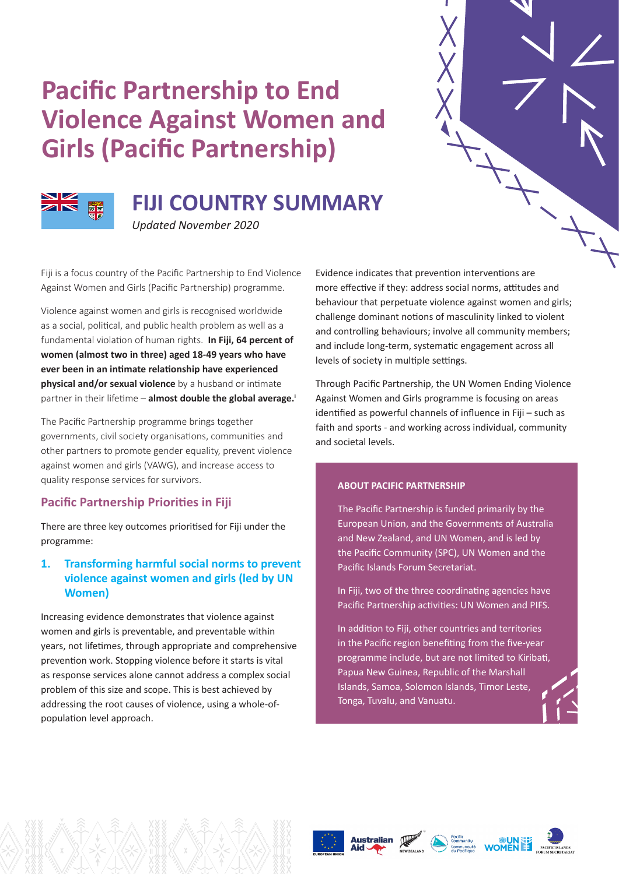# **Pacific Partnership to End Violence Against Women and Girls (Pacific Partnership)**



## **FIJI COUNTRY SUMMARY**

*Updated November 2020*

Fiji is a focus country of the Pacific Partnership to End Violence Against Women and Girls (Pacific Partnership) programme.

Violence against women and girls is recognised worldwide as a social, political, and public health problem as well as a fundamental violation of human rights. **In Fiji, 64 percent of women (almost two in three) aged 18-49 years who have ever been in an intimate relationship have experienced physical and/or sexual violence** by a husband or intimate partner in their lifetime – **almost double the global average.<sup>i</sup>** 

The Pacific Partnership programme brings together governments, civil society organisations, communities and other partners to promote gender equality, prevent violence against women and girls (VAWG), and increase access to quality response services for survivors.

## **Pacific Partnership Priorities in Fiji**

There are three key outcomes prioritised for Fiji under the programme:

## **1. Transforming harmful social norms to prevent violence against women and girls (led by UN Women)**

Increasing evidence demonstrates that violence against women and girls is preventable, and preventable within years, not lifetimes, through appropriate and comprehensive prevention work. Stopping violence before it starts is vital as response services alone cannot address a complex social problem of this size and scope. This is best achieved by addressing the root causes of violence, using a whole-ofpopulation level approach.

Evidence indicates that prevention interventions are more effective if they: address social norms, attitudes and behaviour that perpetuate violence against women and girls; challenge dominant notions of masculinity linked to violent and controlling behaviours; involve all community members; and include long-term, systematic engagement across all levels of society in multiple settings.

Through Pacific Partnership, the UN Women Ending Violence Against Women and Girls programme is focusing on areas identified as powerful channels of influence in Fiji – such as faith and sports - and working across individual, community and societal levels.

#### **ABOUT PACIFIC PARTNERSHIP**

The Pacific Partnership is funded primarily by the European Union, and the Governments of Australia and New Zealand, and UN Women, and is led by the Pacific Community (SPC), UN Women and the Pacific Islands Forum Secretariat.

In Fiji, two of the three coordinating agencies have Pacific Partnership activities: UN Women and PIFS.

In addition to Fiji, other countries and territories in the Pacific region benefiting from the five-year programme include, but are not limited to Kiribati, Papua New Guinea, Republic of the Marshall Islands, Samoa, Solomon Islands, Timor Leste, Tonga, Tuvalu, and Vanuatu.







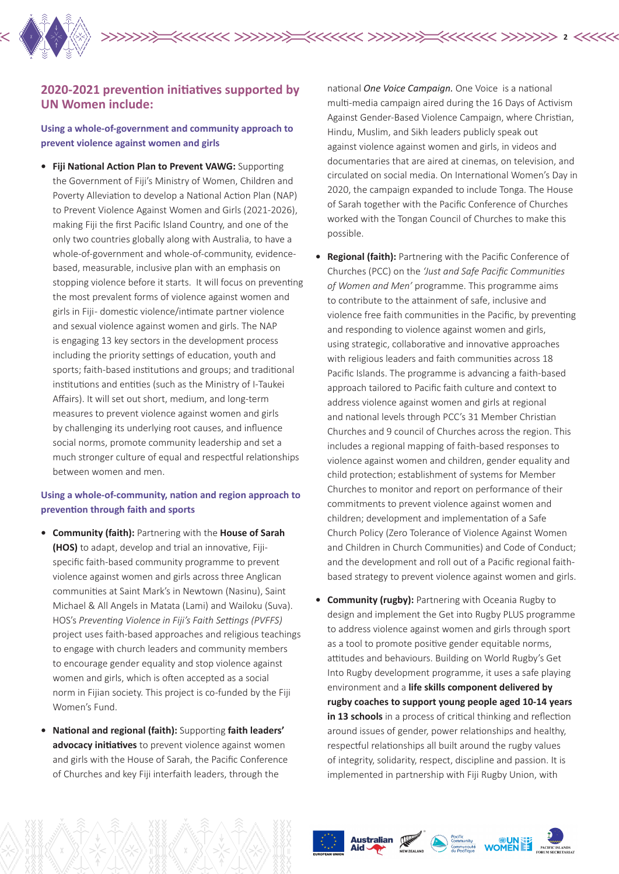

## **2020-2021 prevention initiatives supported by UN Women include:**

**Using a whole-of-government and community approach to prevent violence against women and girls** 

**• Fiji National Action Plan to Prevent VAWG:** Supporting the Government of Fiji's Ministry of Women, Children and Poverty Alleviation to develop a National Action Plan (NAP) to Prevent Violence Against Women and Girls (2021-2026), making Fiji the first Pacific Island Country, and one of the only two countries globally along with Australia, to have a whole-of-government and whole-of-community, evidencebased, measurable, inclusive plan with an emphasis on stopping violence before it starts. It will focus on preventing the most prevalent forms of violence against women and girls in Fiji - domestic violence/intimate partner violence and sexual violence against women and girls. The NAP is engaging 13 key sectors in the development process including the priority settings of education, youth and sports; faith-based institutions and groups; and traditional institutions and entities (such as the Ministry of I-Taukei Affairs). It will set out short, medium, and long-term measures to prevent violence against women and girls by challenging its underlying root causes, and influence social norms, promote community leadership and set a much stronger culture of equal and respectful relationships between women and men.

## **Using a whole-of-community, nation and region approach to prevention through faith and sports**

- **• Community (faith):** Partnering with the **House of Sarah (HOS)** to adapt, develop and trial an innovative, Fijispecific faith-based community programme to prevent violence against women and girls across three Anglican communities at Saint Mark's in Newtown (Nasinu), Saint Michael & All Angels in Matata (Lami) and Wailoku (Suva). HOS's *Preventing Violence in Fiji's Faith Settings (PVFFS)*  project uses faith-based approaches and religious teachings to engage with church leaders and community members to encourage gender equality and stop violence against women and girls, which is often accepted as a social norm in Fijian society. This project is co-funded by the Fiji Women's Fund.
- **• National and regional (faith):** Supporting **faith leaders' advocacy initiatives** to prevent violence against women and girls with the House of Sarah, the Pacific Conference of Churches and key Fiji interfaith leaders, through the

national *One Voice Campaign.* One Voiceis a national multi-media campaign aired during the 16 Days of Activism Against Gender-Based Violence Campaign, where Christian, Hindu, Muslim, and Sikh leaders publicly speak out against violence against women and girls, in videos and documentaries that are aired at cinemas, on television, and circulated on social media. On International Women's Day in 2020, the campaign expanded to include Tonga. The House of Sarah together with the Pacific Conference of Churches worked with the Tongan Council of Churches to make this possible.

**2**

- **• Regional (faith):** Partnering with the Pacific Conference of Churches (PCC) on the *'Just and Safe Pacific Communities of Women and Men'* programme. This programme aims to contribute to the attainment of safe, inclusive and violence free faith communities in the Pacific, by preventing and responding to violence against women and girls, using strategic, collaborative and innovative approaches with religious leaders and faith communities across 18 Pacific Islands. The programme is advancing a faith-based approach tailored to Pacific faith culture and context to address violence against women and girls at regional and national levels through PCC's 31 Member Christian Churches and 9 council of Churches across the region. This includes a regional mapping of faith-based responses to violence against women and children, gender equality and child protection; establishment of systems for Member Churches to monitor and report on performance of their commitments to prevent violence against women and children; development and implementation of a Safe Church Policy (Zero Tolerance of Violence Against Women and Children in Church Communities) and Code of Conduct; and the development and roll out of a Pacific regional faithbased strategy to prevent violence against women and girls.
- **• Community (rugby):** Partnering with Oceania Rugby to design and implement the Get into Rugby PLUS programme to address violence against women and girls through sport as a tool to promote positive gender equitable norms. attitudes and behaviours. Building on World Rugby's Get Into Rugby development programme, it uses a safe playing environment and a **life skills component delivered by rugby coaches to support young people aged 10-14 years in 13 schools** in a process of critical thinking and reflection around issues of gender, power relationships and healthy, respectful relationships all built around the rugby values of integrity, solidarity, respect, discipline and passion. It is implemented in partnership with Fiji Rugby Union, with





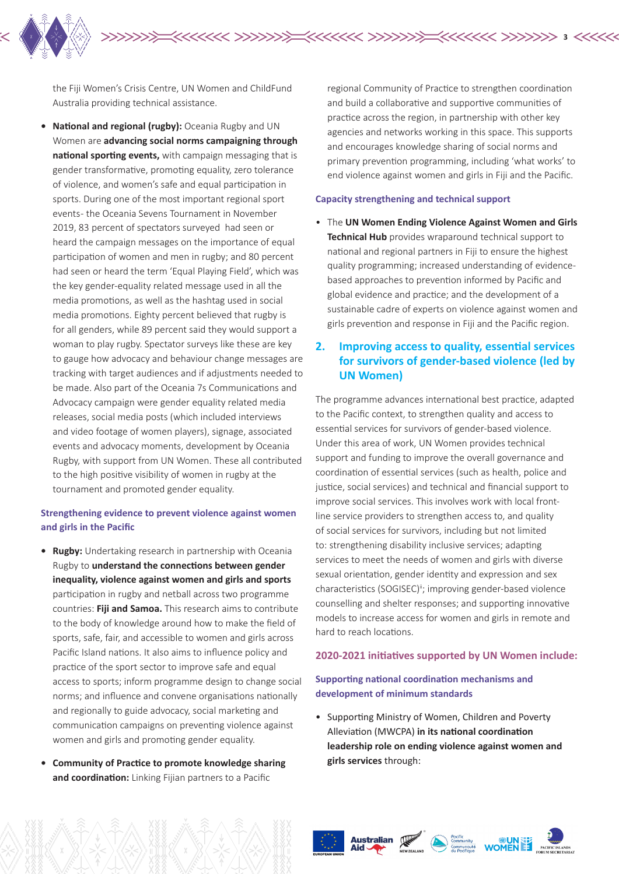the Fiji Women's Crisis Centre, UN Women and ChildFund Australia providing technical assistance.

**• National and regional (rugby):** Oceania Rugby and UN Women are **advancing social norms campaigning through national sporting events,** with campaign messaging that is gender transformative, promoting equality, zero tolerance of violence, and women's safe and equal participation in sports. During one of the most important regional sport events - the Oceania Sevens Tournament in November 2019, 83 percent of spectators surveyed had seen or heard the campaign messages on the importance of equal participation of women and men in rugby; and 80 percent had seen or heard the term 'Equal Playing Field', which was the key gender-equality related message used in all the media promotions, as well as the hashtag used in social media promotions. Eighty percent believed that rugby is for all genders, while 89 percent said they would support a woman to play rugby. Spectator surveys like these are key to gauge how advocacy and behaviour change messages are tracking with target audiences and if adjustments needed to be made. Also part of the Oceania 7s Communications and Advocacy campaign were gender equality related media releases, social media posts (which included interviews and video footage of women players), signage, associated events and advocacy moments, development by Oceania Rugby, with support from UN Women. These all contributed to the high positive visibility of women in rugby at the tournament and promoted gender equality.

#### **Strengthening evidence to prevent violence against women and girls in the Pacific**

- **• Rugby:** Undertaking research in partnership with Oceania Rugby to **understand the connections between gender inequality, violence against women and girls and sports**  participation in rugby and netball across two programme countries: **Fiji and Samoa.** This research aims to contribute to the body of knowledge around how to make the field of sports, safe, fair, and accessible to women and girls across Pacific Island nations. It also aims to influence policy and practice of the sport sector to improve safe and equal access to sports; inform programme design to change social norms; and influence and convene organisations nationally and regionally to guide advocacy, social marketing and communication campaigns on preventing violence against women and girls and promoting gender equality.
- **• Community of Practice to promote knowledge sharing and coordination:** Linking Fijian partners to a Pacific

regional Community of Practice to strengthen coordination and build a collaborative and supportive communities of practice across the region, in partnership with other key agencies and networks working in this space. This supports and encourages knowledge sharing of social norms and primary prevention programming, including 'what works' to end violence against women and girls in Fiji and the Pacific.

#### **Capacity strengthening and technical support**

**3**

• The **UN Women Ending Violence Against Women and Girls Technical Hub** provides wraparound technical support to national and regional partners in Fiji to ensure the highest quality programming; increased understanding of evidencebased approaches to prevention informed by Pacific and global evidence and practice; and the development of a sustainable cadre of experts on violence against women and girls prevention and response in Fiji and the Pacific region.

## **2. Improving access to quality, essential services for survivors of gender-based violence (led by UN Women)**

The programme advances international best practice, adapted to the Pacific context, to strengthen quality and access to essential services for survivors of gender-based violence. Under this area of work, UN Women provides technical support and funding to improve the overall governance and coordination of essential services (such as health, police and justice, social services) and technical and financial support to improve social services. This involves work with local frontline service providers to strengthen access to, and quality of social services for survivors, including but not limited to: strengthening disability inclusive services; adapting services to meet the needs of women and girls with diverse sexual orientation, gender identity and expression and sex characteristics (SOGISEC)<sup>ii</sup>; improving gender-based violence counselling and shelter responses; and supporting innovative models to increase access for women and girls in remote and hard to reach locations.

#### **2020-2021 initiatives supported by UN Women include:**

#### **Supporting national coordination mechanisms and development of minimum standards**

• Supporting Ministry of Women, Children and Poverty Alleviation (MWCPA) **in its national coordination leadership role on ending violence against women and girls services** through:







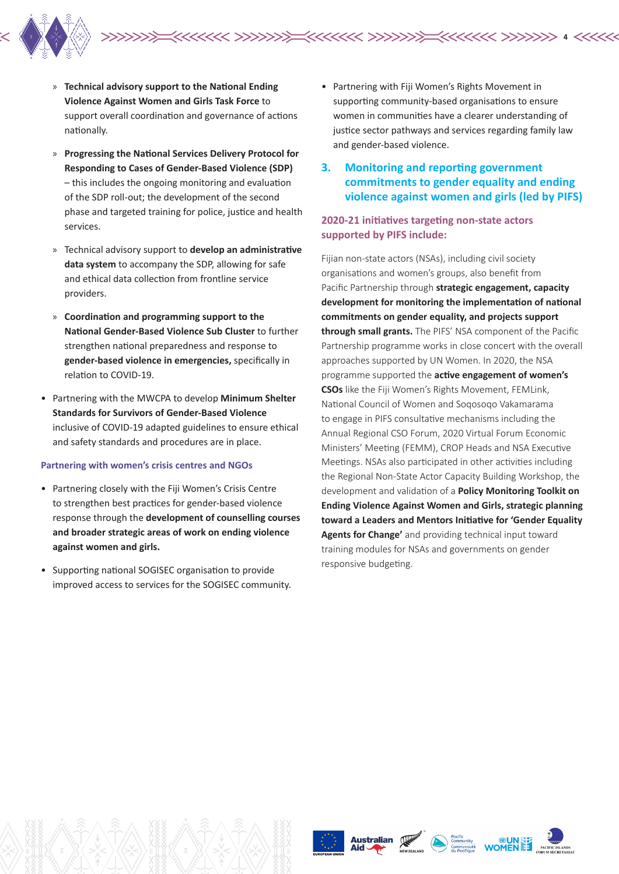

- » **Technical advisory support to the National Ending Violence Against Women and Girls Task Force** to support overall coordination and governance of actions nationally.
- » **Progressing the National Services Delivery Protocol for Responding to Cases of Gender-Based Violence (SDP)**  – this includes the ongoing monitoring and evaluation of the SDP roll-out; the development of the second phase and targeted training for police, justice and health services.
- » Technical advisory support to **develop an administrative data system** to accompany the SDP, allowing for safe and ethical data collection from frontline service providers.
- » **Coordination and programming support to the National Gender-Based Violence Sub Cluster** to further strengthen national preparedness and response to **gender-based violence in emergencies,** specifically in relation to COVID-19.
- Partnering with the MWCPA to develop **Minimum Shelter Standards for Survivors of Gender-Based Violence** inclusive of COVID-19 adapted guidelines to ensure ethical and safety standards and procedures are in place.

#### **Partnering with women's crisis centres and NGOs**

- Partnering closely with the Fiji Women's Crisis Centre to strengthen best practices for gender-based violence response through the **development of counselling courses and broader strategic areas of work on ending violence against women and girls.**
- Supporting national SOGISEC organisation to provide improved access to services for the SOGISEC community.

• Partnering with Fiji Women's Rights Movement in supporting community-based organisations to ensure women in communities have a clearer understanding of justice sector pathways and services regarding family law and gender-based violence.

**4**

**3. Monitoring and reporting government commitments to gender equality and ending violence against women and girls (led by PIFS)**

### **2020-21 initiatives targeting non-state actors supported by PIFS include:**

Fijian non-state actors (NSAs), including civil society organisations and women's groups, also benefit from Pacific Partnership through **strategic engagement, capacity development for monitoring the implementation of national commitments on gender equality, and projects support through small grants.** The PIFS' NSA component of the Pacific Partnership programme works in close concert with the overall approaches supported by UN Women. In 2020, the NSA programme supported the **active engagement of women's CSOs** like the Fiji Women's Rights Movement, FEMLink, National Council of Women and Soqosoqo Vakamarama to engage in PIFS consultative mechanisms including the Annual Regional CSO Forum, 2020 Virtual Forum Economic Ministers' Meeting (FEMM), CROP Heads and NSA Executive Meetings. NSAs also participated in other activities including the Regional Non-State Actor Capacity Building Workshop, the development and validation of a **Policy Monitoring Toolkit on Ending Violence Against Women and Girls, strategic planning toward a Leaders and Mentors Initiative for 'Gender Equality Agents for Change'** and providing technical input toward training modules for NSAs and governments on gender responsive budgeting.